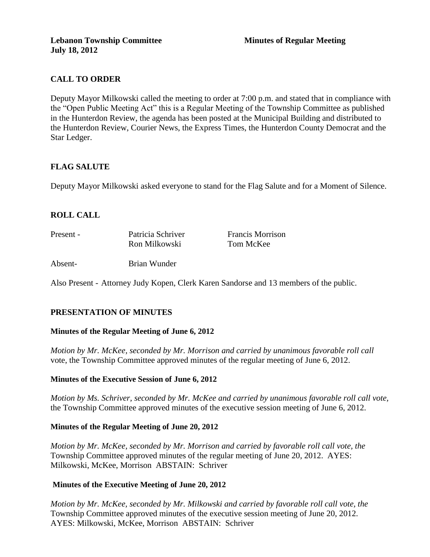## **CALL TO ORDER**

Deputy Mayor Milkowski called the meeting to order at 7:00 p.m. and stated that in compliance with the "Open Public Meeting Act" this is a Regular Meeting of the Township Committee as published in the Hunterdon Review, the agenda has been posted at the Municipal Building and distributed to the Hunterdon Review, Courier News, the Express Times, the Hunterdon County Democrat and the Star Ledger.

## **FLAG SALUTE**

Deputy Mayor Milkowski asked everyone to stand for the Flag Salute and for a Moment of Silence.

## **ROLL CALL**

| Present - | Patricia Schriver | <b>Francis Morrison</b> |  |  |
|-----------|-------------------|-------------------------|--|--|
|           | Ron Milkowski     | Tom McKee               |  |  |
| Absent-   | Brian Wunder      |                         |  |  |

Also Present - Attorney Judy Kopen, Clerk Karen Sandorse and 13 members of the public.

## **PRESENTATION OF MINUTES**

## **Minutes of the Regular Meeting of June 6, 2012**

*Motion by Mr. McKee, seconded by Mr. Morrison and carried by unanimous favorable roll call*  vote, the Township Committee approved minutes of the regular meeting of June 6, 2012.

## **Minutes of the Executive Session of June 6, 2012**

*Motion by Ms. Schriver, seconded by Mr. McKee and carried by unanimous favorable roll call vote,* the Township Committee approved minutes of the executive session meeting of June 6, 2012.

## **Minutes of the Regular Meeting of June 20, 2012**

*Motion by Mr. McKee, seconded by Mr. Morrison and carried by favorable roll call vote, the* Township Committee approved minutes of the regular meeting of June 20, 2012. AYES: Milkowski, McKee, Morrison ABSTAIN: Schriver

## **Minutes of the Executive Meeting of June 20, 2012**

*Motion by Mr. McKee, seconded by Mr. Milkowski and carried by favorable roll call vote, the* Township Committee approved minutes of the executive session meeting of June 20, 2012. AYES: Milkowski, McKee, Morrison ABSTAIN: Schriver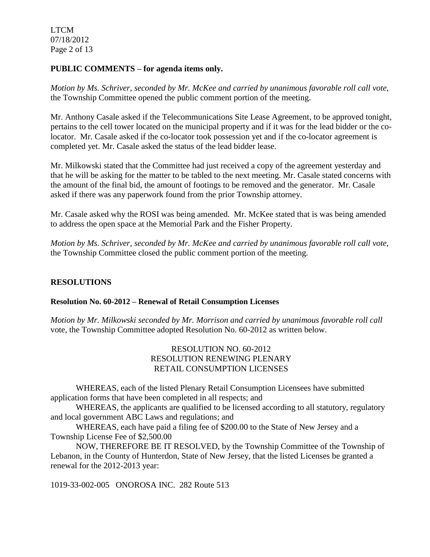LTCM 07/18/2012 Page 2 of 13

## **PUBLIC COMMENTS – for agenda items only.**

*Motion by Ms. Schriver, seconded by Mr. McKee and carried by unanimous favorable roll call vote,* the Township Committee opened the public comment portion of the meeting.

Mr. Anthony Casale asked if the Telecommunications Site Lease Agreement, to be approved tonight, pertains to the cell tower located on the municipal property and if it was for the lead bidder or the colocator. Mr. Casale asked if the co-locator took possession yet and if the co-locator agreement is completed yet. Mr. Casale asked the status of the lead bidder lease.

Mr. Milkowski stated that the Committee had just received a copy of the agreement yesterday and that he will be asking for the matter to be tabled to the next meeting. Mr. Casale stated concerns with the amount of the final bid, the amount of footings to be removed and the generator. Mr. Casale asked if there was any paperwork found from the prior Township attorney.

Mr. Casale asked why the ROSI was being amended. Mr. McKee stated that is was being amended to address the open space at the Memorial Park and the Fisher Property.

*Motion by Ms. Schriver, seconded by Mr. McKee and carried by unanimous favorable roll call vote*, the Township Committee closed the public comment portion of the meeting.

## **RESOLUTIONS**

## **Resolution No. 60-2012 – Renewal of Retail Consumption Licenses**

*Motion by Mr. Milkowski seconded by Mr. Morrison and carried by unanimous favorable roll call*  vote, the Township Committee adopted Resolution No. 60-2012 as written below.

## RESOLUTION NO. 60-2012 RESOLUTION RENEWING PLENARY RETAIL CONSUMPTION LICENSES

WHEREAS, each of the listed Plenary Retail Consumption Licensees have submitted application forms that have been completed in all respects; and

WHEREAS, the applicants are qualified to be licensed according to all statutory, regulatory and local government ABC Laws and regulations; and

WHEREAS, each have paid a filing fee of \$200.00 to the State of New Jersey and a Township License Fee of \$2,500.00

NOW, THEREFORE BE IT RESOLVED, by the Township Committee of the Township of Lebanon, in the County of Hunterdon, State of New Jersey, that the listed Licenses be granted a renewal for the 2012-2013 year:

1019-33-002-005 ONOROSA INC. 282 Route 513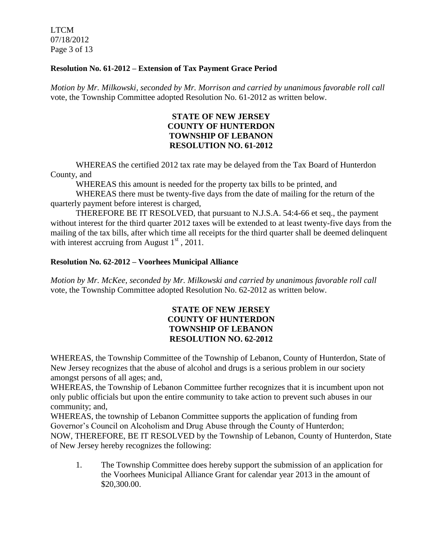LTCM 07/18/2012 Page 3 of 13

### **Resolution No. 61-2012 – Extension of Tax Payment Grace Period**

*Motion by Mr. Milkowski, seconded by Mr. Morrison and carried by unanimous favorable roll call*  vote, the Township Committee adopted Resolution No. 61-2012 as written below.

## **STATE OF NEW JERSEY COUNTY OF HUNTERDON TOWNSHIP OF LEBANON RESOLUTION NO. 61-2012**

WHEREAS the certified 2012 tax rate may be delayed from the Tax Board of Hunterdon County, and

WHEREAS this amount is needed for the property tax bills to be printed, and

WHEREAS there must be twenty-five days from the date of mailing for the return of the quarterly payment before interest is charged,

THEREFORE BE IT RESOLVED, that pursuant to N.J.S.A. 54:4-66 et seq., the payment without interest for the third quarter 2012 taxes will be extended to at least twenty-five days from the mailing of the tax bills, after which time all receipts for the third quarter shall be deemed delinquent with interest accruing from August  $1<sup>st</sup>$ , 2011.

### **Resolution No. 62-2012 – Voorhees Municipal Alliance**

*Motion by Mr. McKee, seconded by Mr. Milkowski and carried by unanimous favorable roll call*  vote, the Township Committee adopted Resolution No. 62-2012 as written below.

## **STATE OF NEW JERSEY COUNTY OF HUNTERDON TOWNSHIP OF LEBANON RESOLUTION NO. 62-2012**

WHEREAS, the Township Committee of the Township of Lebanon, County of Hunterdon, State of New Jersey recognizes that the abuse of alcohol and drugs is a serious problem in our society amongst persons of all ages; and,

WHEREAS, the Township of Lebanon Committee further recognizes that it is incumbent upon not only public officials but upon the entire community to take action to prevent such abuses in our community; and,

WHEREAS, the township of Lebanon Committee supports the application of funding from Governor's Council on Alcoholism and Drug Abuse through the County of Hunterdon; NOW, THEREFORE, BE IT RESOLVED by the Township of Lebanon, County of Hunterdon, State of New Jersey hereby recognizes the following:

1. The Township Committee does hereby support the submission of an application for the Voorhees Municipal Alliance Grant for calendar year 2013 in the amount of \$20,300.00.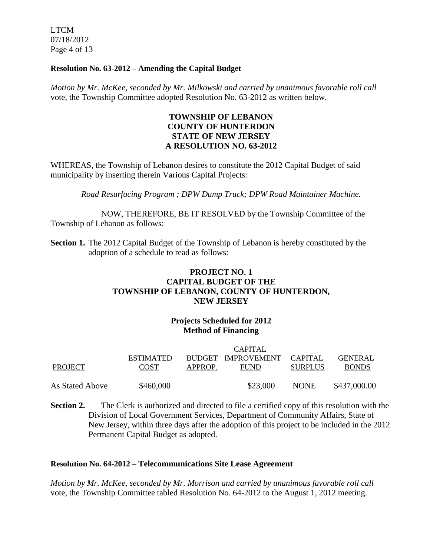LTCM 07/18/2012 Page 4 of 13

### **Resolution No. 63-2012 – Amending the Capital Budget**

*Motion by Mr. McKee, seconded by Mr. Milkowski and carried by unanimous favorable roll call*  vote, the Township Committee adopted Resolution No. 63-2012 as written below.

## **TOWNSHIP OF LEBANON COUNTY OF HUNTERDON STATE OF NEW JERSEY A RESOLUTION NO. 63-2012**

WHEREAS, the Township of Lebanon desires to constitute the 2012 Capital Budget of said municipality by inserting therein Various Capital Projects:

*Road Resurfacing Program ; DPW Dump Truck; DPW Road Maintainer Machine.*

NOW, THEREFORE, BE IT RESOLVED by the Township Committee of the Township of Lebanon as follows:

**Section 1.** The 2012 Capital Budget of the Township of Lebanon is hereby constituted by the adoption of a schedule to read as follows:

## **PROJECT NO. 1 CAPITAL BUDGET OF THE TOWNSHIP OF LEBANON, COUNTY OF HUNTERDON, NEW JERSEY**

## **Projects Scheduled for 2012 Method of Financing**

|                 | CAPITAL          |         |                            |                |                |
|-----------------|------------------|---------|----------------------------|----------------|----------------|
|                 | <b>ESTIMATED</b> |         | BUDGET IMPROVEMENT CAPITAL |                | <b>GENERAL</b> |
| PROJECT         | <b>COST</b>      | APPROP. | <b>FUND</b>                | <b>SURPLUS</b> | <b>BONDS</b>   |
| As Stated Above | \$460,000        |         | \$23,000                   | <b>NONE</b>    | \$437,000.00   |

**Section 2.** The Clerk is authorized and directed to file a certified copy of this resolution with the Division of Local Government Services, Department of Community Affairs, State of New Jersey, within three days after the adoption of this project to be included in the 2012 Permanent Capital Budget as adopted.

## **Resolution No. 64-2012 – Telecommunications Site Lease Agreement**

*Motion by Mr. McKee, seconded by Mr. Morrison and carried by unanimous favorable roll call*  vote, the Township Committee tabled Resolution No. 64-2012 to the August 1, 2012 meeting.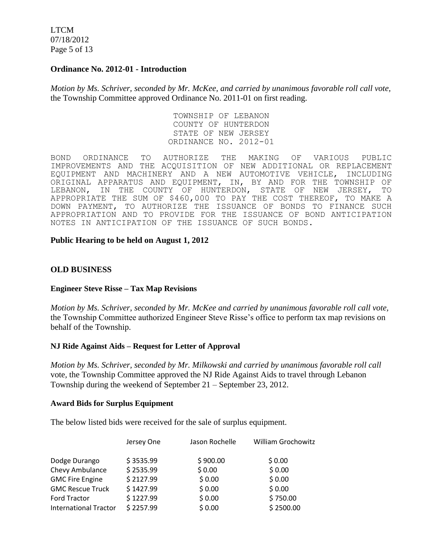LTCM 07/18/2012 Page 5 of 13

### **Ordinance No. 2012-01 - Introduction**

*Motion by Ms. Schriver, seconded by Mr. McKee, and carried by unanimous favorable roll call vote,*  the Township Committee approved Ordinance No. 2011-01 on first reading.

> TOWNSHIP OF LEBANON COUNTY OF HUNTERDON STATE OF NEW JERSEY ORDINANCE NO. 2012-01

BOND ORDINANCE TO AUTHORIZE THE MAKING OF VARIOUS PUBLIC IMPROVEMENTS AND THE ACQUISITION OF NEW ADDITIONAL OR REPLACEMENT EQUIPMENT AND MACHINERY AND A NEW AUTOMOTIVE VEHICLE, INCLUDING ORIGINAL APPARATUS AND EQUIPMENT, IN, BY AND FOR THE TOWNSHIP OF<br>LEBANON, IN THE COUNTY OF HUNTERDON, STATE OF NEW JERSEY, TO LEBANON, IN THE COUNTY OF HUNTERDON, STATE OF NEW JERSEY, TO APPROPRIATE THE SUM OF \$460,000 TO PAY THE COST THEREOF, TO MAKE A DOWN PAYMENT, TO AUTHORIZE THE ISSUANCE OF BONDS TO FINANCE SUCH APPROPRIATION AND TO PROVIDE FOR THE ISSUANCE OF BOND ANTICIPATION NOTES IN ANTICIPATION OF THE ISSUANCE OF SUCH BONDS.

### **Public Hearing to be held on August 1, 2012**

### **OLD BUSINESS**

#### **Engineer Steve Risse – Tax Map Revisions**

*Motion by Ms. Schriver, seconded by Mr. McKee and carried by unanimous favorable roll call vote,*  the Township Committee authorized Engineer Steve Risse's office to perform tax map revisions on behalf of the Township.

#### **NJ Ride Against Aids – Request for Letter of Approval**

*Motion by Ms. Schriver, seconded by Mr. Milkowski and carried by unanimous favorable roll call*  vote*,* the Township Committee approved the NJ Ride Against Aids to travel through Lebanon Township during the weekend of September 21 – September 23, 2012.

#### **Award Bids for Surplus Equipment**

The below listed bids were received for the sale of surplus equipment.

|                              | Jersey One | Jason Rochelle | <b>William Grochowitz</b> |
|------------------------------|------------|----------------|---------------------------|
| Dodge Durango                | \$3535.99  | \$900.00       | \$0.00                    |
| Chevy Ambulance              | \$2535.99  | \$0.00         | \$0.00                    |
| <b>GMC Fire Engine</b>       | \$2127.99  | \$0.00         | \$0.00                    |
| <b>GMC Rescue Truck</b>      | \$1427.99  | \$0.00         | \$0.00                    |
| <b>Ford Tractor</b>          | \$1227.99  | \$0.00         | \$750.00                  |
| <b>International Tractor</b> | \$2257.99  | \$0.00         | \$2500.00                 |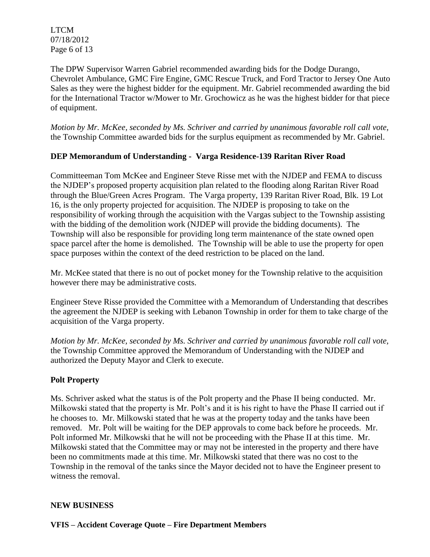LTCM 07/18/2012 Page 6 of 13

The DPW Supervisor Warren Gabriel recommended awarding bids for the Dodge Durango, Chevrolet Ambulance, GMC Fire Engine, GMC Rescue Truck, and Ford Tractor to Jersey One Auto Sales as they were the highest bidder for the equipment. Mr. Gabriel recommended awarding the bid for the International Tractor w/Mower to Mr. Grochowicz as he was the highest bidder for that piece of equipment.

*Motion by Mr. McKee, seconded by Ms. Schriver and carried by unanimous favorable roll call vote,* the Township Committee awarded bids for the surplus equipment as recommended by Mr. Gabriel.

## **DEP Memorandum of Understanding - Varga Residence-139 Raritan River Road**

Committeeman Tom McKee and Engineer Steve Risse met with the NJDEP and FEMA to discuss the NJDEP's proposed property acquisition plan related to the flooding along Raritan River Road through the Blue/Green Acres Program. The Varga property, 139 Raritan River Road, Blk. 19 Lot 16, is the only property projected for acquisition. The NJDEP is proposing to take on the responsibility of working through the acquisition with the Vargas subject to the Township assisting with the bidding of the demolition work (NJDEP will provide the bidding documents). The Township will also be responsible for providing long term maintenance of the state owned open space parcel after the home is demolished. The Township will be able to use the property for open space purposes within the context of the deed restriction to be placed on the land.

Mr. McKee stated that there is no out of pocket money for the Township relative to the acquisition however there may be administrative costs.

Engineer Steve Risse provided the Committee with a Memorandum of Understanding that describes the agreement the NJDEP is seeking with Lebanon Township in order for them to take charge of the acquisition of the Varga property.

*Motion by Mr. McKee, seconded by Ms. Schriver and carried by unanimous favorable roll call vote,* the Township Committee approved the Memorandum of Understanding with the NJDEP and authorized the Deputy Mayor and Clerk to execute.

## **Polt Property**

Ms. Schriver asked what the status is of the Polt property and the Phase II being conducted. Mr. Milkowski stated that the property is Mr. Polt's and it is his right to have the Phase II carried out if he chooses to. Mr. Milkowski stated that he was at the property today and the tanks have been removed. Mr. Polt will be waiting for the DEP approvals to come back before he proceeds. Mr. Polt informed Mr. Milkowski that he will not be proceeding with the Phase II at this time. Mr. Milkowski stated that the Committee may or may not be interested in the property and there have been no commitments made at this time. Mr. Milkowski stated that there was no cost to the Township in the removal of the tanks since the Mayor decided not to have the Engineer present to witness the removal.

## **NEW BUSINESS**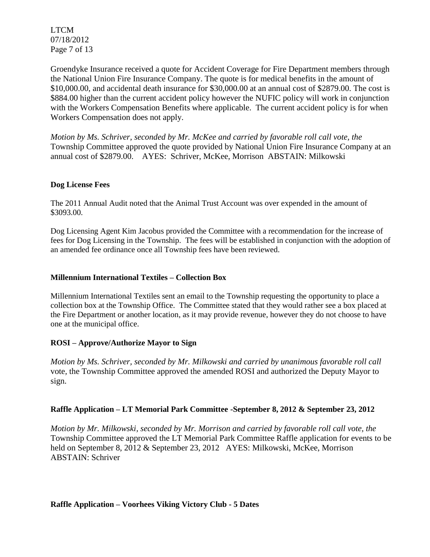LTCM 07/18/2012 Page 7 of 13

Groendyke Insurance received a quote for Accident Coverage for Fire Department members through the National Union Fire Insurance Company. The quote is for medical benefits in the amount of \$10,000.00, and accidental death insurance for \$30,000.00 at an annual cost of \$2879.00. The cost is \$884.00 higher than the current accident policy however the NUFIC policy will work in conjunction with the Workers Compensation Benefits where applicable. The current accident policy is for when Workers Compensation does not apply.

*Motion by Ms. Schriver, seconded by Mr. McKee and carried by favorable roll call vote, the* Township Committee approved the quote provided by National Union Fire Insurance Company at an annual cost of \$2879.00. AYES: Schriver, McKee, Morrison ABSTAIN: Milkowski

## **Dog License Fees**

The 2011 Annual Audit noted that the Animal Trust Account was over expended in the amount of \$3093.00.

Dog Licensing Agent Kim Jacobus provided the Committee with a recommendation for the increase of fees for Dog Licensing in the Township. The fees will be established in conjunction with the adoption of an amended fee ordinance once all Township fees have been reviewed.

### **Millennium International Textiles – Collection Box**

Millennium International Textiles sent an email to the Township requesting the opportunity to place a collection box at the Township Office. The Committee stated that they would rather see a box placed at the Fire Department or another location, as it may provide revenue, however they do not choose to have one at the municipal office.

## **ROSI – Approve/Authorize Mayor to Sign**

*Motion by Ms. Schriver, seconded by Mr. Milkowski and carried by unanimous favorable roll call*  vote*,* the Township Committee approved the amended ROSI and authorized the Deputy Mayor to sign.

## **Raffle Application – LT Memorial Park Committee -September 8, 2012 & September 23, 2012**

*Motion by Mr. Milkowski, seconded by Mr. Morrison and carried by favorable roll call vote, the* Township Committee approved the LT Memorial Park Committee Raffle application for events to be held on September 8, 2012 & September 23, 2012 AYES: Milkowski, McKee, Morrison ABSTAIN: Schriver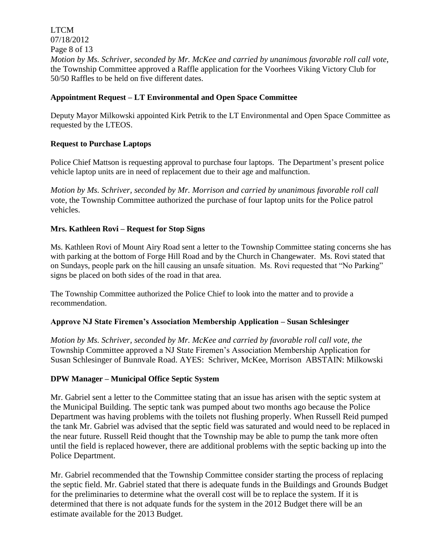LTCM 07/18/2012 Page 8 of 13 *Motion by Ms. Schriver, seconded by Mr. McKee and carried by unanimous favorable roll call vote,* the Township Committee approved a Raffle application for the Voorhees Viking Victory Club for 50/50 Raffles to be held on five different dates.

## **Appointment Request – LT Environmental and Open Space Committee**

Deputy Mayor Milkowski appointed Kirk Petrik to the LT Environmental and Open Space Committee as requested by the LTEOS.

## **Request to Purchase Laptops**

Police Chief Mattson is requesting approval to purchase four laptops. The Department's present police vehicle laptop units are in need of replacement due to their age and malfunction.

*Motion by Ms. Schriver, seconded by Mr. Morrison and carried by unanimous favorable roll call*  vote*,* the Township Committee authorized the purchase of four laptop units for the Police patrol vehicles.

## **Mrs. Kathleen Rovi – Request for Stop Signs**

Ms. Kathleen Rovi of Mount Airy Road sent a letter to the Township Committee stating concerns she has with parking at the bottom of Forge Hill Road and by the Church in Changewater. Ms. Rovi stated that on Sundays, people park on the hill causing an unsafe situation. Ms. Rovi requested that "No Parking" signs be placed on both sides of the road in that area.

The Township Committee authorized the Police Chief to look into the matter and to provide a recommendation.

## **Approve NJ State Firemen's Association Membership Application – Susan Schlesinger**

*Motion by Ms. Schriver, seconded by Mr. McKee and carried by favorable roll call vote, the* Township Committee approved a NJ State Firemen's Association Membership Application for Susan Schlesinger of Bunnvale Road. AYES: Schriver, McKee, Morrison ABSTAIN: Milkowski

## **DPW Manager – Municipal Office Septic System**

Mr. Gabriel sent a letter to the Committee stating that an issue has arisen with the septic system at the Municipal Building. The septic tank was pumped about two months ago because the Police Department was having problems with the toilets not flushing properly. When Russell Reid pumped the tank Mr. Gabriel was advised that the septic field was saturated and would need to be replaced in the near future. Russell Reid thought that the Township may be able to pump the tank more often until the field is replaced however, there are additional problems with the septic backing up into the Police Department.

Mr. Gabriel recommended that the Township Committee consider starting the process of replacing the septic field. Mr. Gabriel stated that there is adequate funds in the Buildings and Grounds Budget for the preliminaries to determine what the overall cost will be to replace the system. If it is determined that there is not adquate funds for the system in the 2012 Budget there will be an estimate available for the 2013 Budget.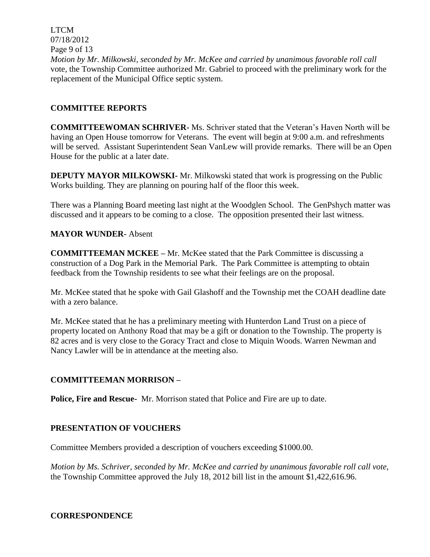LTCM 07/18/2012 Page 9 of 13 *Motion by Mr. Milkowski, seconded by Mr. McKee and carried by unanimous favorable roll call*  vote, the Township Committee authorized Mr. Gabriel to proceed with the preliminary work for the replacement of the Municipal Office septic system.

## **COMMITTEE REPORTS**

**COMMITTEEWOMAN SCHRIVER-** Ms. Schriver stated that the Veteran's Haven North will be having an Open House tomorrow for Veterans. The event will begin at 9:00 a.m. and refreshments will be served. Assistant Superintendent Sean VanLew will provide remarks. There will be an Open House for the public at a later date.

**DEPUTY MAYOR MILKOWSKI-** Mr. Milkowski stated that work is progressing on the Public Works building. They are planning on pouring half of the floor this week.

There was a Planning Board meeting last night at the Woodglen School. The GenPshych matter was discussed and it appears to be coming to a close. The opposition presented their last witness.

## **MAYOR WUNDER-** Absent

**COMMITTEEMAN MCKEE –** Mr. McKee stated that the Park Committee is discussing a construction of a Dog Park in the Memorial Park. The Park Committee is attempting to obtain feedback from the Township residents to see what their feelings are on the proposal.

Mr. McKee stated that he spoke with Gail Glashoff and the Township met the COAH deadline date with a zero balance.

Mr. McKee stated that he has a preliminary meeting with Hunterdon Land Trust on a piece of property located on Anthony Road that may be a gift or donation to the Township. The property is 82 acres and is very close to the Goracy Tract and close to Miquin Woods. Warren Newman and Nancy Lawler will be in attendance at the meeting also.

## **COMMITTEEMAN MORRISON –**

**Police, Fire and Rescue-** Mr. Morrison stated that Police and Fire are up to date.

## **PRESENTATION OF VOUCHERS**

Committee Members provided a description of vouchers exceeding \$1000.00.

*Motion by Ms. Schriver, seconded by Mr. McKee and carried by unanimous favorable roll call vote,* the Township Committee approved the July 18, 2012 bill list in the amount \$1,422,616.96.

## **CORRESPONDENCE**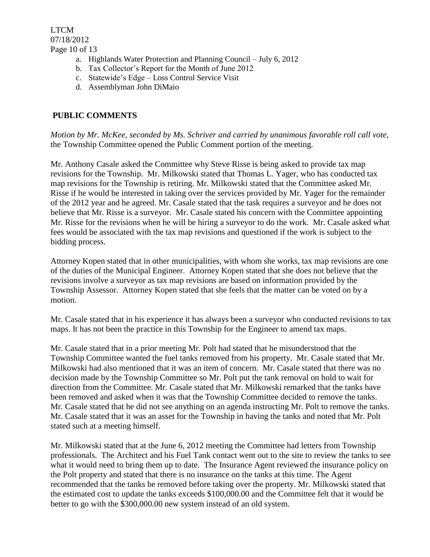LTCM 07/18/2012 Page 10 of 13

- a. Highlands Water Protection and Planning Council July 6, 2012
- b. Tax Collector's Report for the Month of June 2012
- c. Statewide's Edge Loss Control Service Visit
- d. Assemblyman John DiMaio

# **PUBLIC COMMENTS**

*Motion by Mr. McKee, seconded by Ms. Schriver and carried by unanimous favorable roll call vote,* the Township Committee opened the Public Comment portion of the meeting.

Mr. Anthony Casale asked the Committee why Steve Risse is being asked to provide tax map revisions for the Township. Mr. Milkowski stated that Thomas L. Yager, who has conducted tax map revisions for the Township is retiring. Mr. Milkowski stated that the Committee asked Mr. Risse if he would be interested in taking over the services provided by Mr. Yager for the remainder of the 2012 year and he agreed. Mr. Casale stated that the task requires a surveyor and he does not believe that Mr. Risse is a surveyor. Mr. Casale stated his concern with the Committee appointing Mr. Risse for the revisions when he will be hiring a surveyor to do the work. Mr. Casale asked what fees would be associated with the tax map revisions and questioned if the work is subject to the bidding process.

Attorney Kopen stated that in other municipalities, with whom she works, tax map revisions are one of the duties of the Municipal Engineer. Attorney Kopen stated that she does not believe that the revisions involve a surveyor as tax map revisions are based on information provided by the Township Assessor. Attorney Kopen stated that she feels that the matter can be voted on by a motion.

Mr. Casale stated that in his experience it has always been a surveyor who conducted revisions to tax maps. It has not been the practice in this Township for the Engineer to amend tax maps.

Mr. Casale stated that in a prior meeting Mr. Polt had stated that he misunderstood that the Township Committee wanted the fuel tanks removed from his property. Mr. Casale stated that Mr. Milkowski had also mentioned that it was an item of concern. Mr. Casale stated that there was no decision made by the Township Committee so Mr. Polt put the tank removal on hold to wait for direction from the Committee. Mr. Casale stated that Mr. Milkowski remarked that the tanks have been removed and asked when it was that the Township Committee decided to remove the tanks. Mr. Casale stated that he did not see anything on an agenda instructing Mr. Polt to remove the tanks. Mr. Casale stated that it was an asset for the Township in having the tanks and noted that Mr. Polt stated such at a meeting himself.

Mr. Milkowski stated that at the June 6, 2012 meeting the Committee had letters from Township professionals. The Architect and his Fuel Tank contact went out to the site to review the tanks to see what it would need to bring them up to date. The Insurance Agent reviewed the insurance policy on the Polt property and stated that there is no insurance on the tanks at this time. The Agent recommended that the tanks be removed before taking over the property. Mr. Milkowski stated that the estimated cost to update the tanks exceeds \$100,000.00 and the Committee felt that it would be better to go with the \$300,000.00 new system instead of an old system.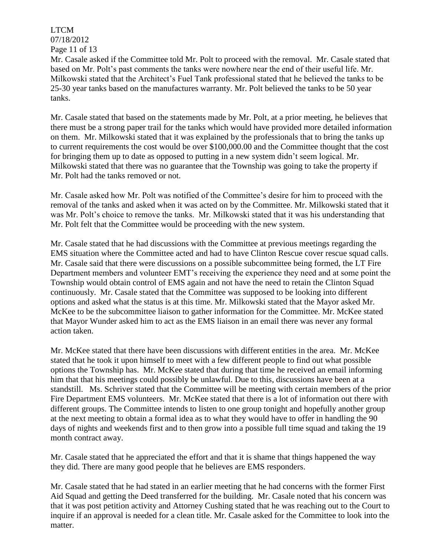LTCM 07/18/2012 Page 11 of 13

Mr. Casale asked if the Committee told Mr. Polt to proceed with the removal. Mr. Casale stated that based on Mr. Polt's past comments the tanks were nowhere near the end of their useful life. Mr. Milkowski stated that the Architect's Fuel Tank professional stated that he believed the tanks to be 25-30 year tanks based on the manufactures warranty. Mr. Polt believed the tanks to be 50 year tanks.

Mr. Casale stated that based on the statements made by Mr. Polt, at a prior meeting, he believes that there must be a strong paper trail for the tanks which would have provided more detailed information on them. Mr. Milkowski stated that it was explained by the professionals that to bring the tanks up to current requirements the cost would be over \$100,000.00 and the Committee thought that the cost for bringing them up to date as opposed to putting in a new system didn't seem logical. Mr. Milkowski stated that there was no guarantee that the Township was going to take the property if Mr. Polt had the tanks removed or not.

Mr. Casale asked how Mr. Polt was notified of the Committee's desire for him to proceed with the removal of the tanks and asked when it was acted on by the Committee. Mr. Milkowski stated that it was Mr. Polt's choice to remove the tanks. Mr. Milkowski stated that it was his understanding that Mr. Polt felt that the Committee would be proceeding with the new system.

Mr. Casale stated that he had discussions with the Committee at previous meetings regarding the EMS situation where the Committee acted and had to have Clinton Rescue cover rescue squad calls. Mr. Casale said that there were discussions on a possible subcommittee being formed, the LT Fire Department members and volunteer EMT's receiving the experience they need and at some point the Township would obtain control of EMS again and not have the need to retain the Clinton Squad continuously. Mr. Casale stated that the Committee was supposed to be looking into different options and asked what the status is at this time. Mr. Milkowski stated that the Mayor asked Mr. McKee to be the subcommittee liaison to gather information for the Committee. Mr. McKee stated that Mayor Wunder asked him to act as the EMS liaison in an email there was never any formal action taken.

Mr. McKee stated that there have been discussions with different entities in the area. Mr. McKee stated that he took it upon himself to meet with a few different people to find out what possible options the Township has. Mr. McKee stated that during that time he received an email informing him that that his meetings could possibly be unlawful. Due to this, discussions have been at a standstill. Ms. Schriver stated that the Committee will be meeting with certain members of the prior Fire Department EMS volunteers. Mr. McKee stated that there is a lot of information out there with different groups. The Committee intends to listen to one group tonight and hopefully another group at the next meeting to obtain a formal idea as to what they would have to offer in handling the 90 days of nights and weekends first and to then grow into a possible full time squad and taking the 19 month contract away.

Mr. Casale stated that he appreciated the effort and that it is shame that things happened the way they did. There are many good people that he believes are EMS responders.

Mr. Casale stated that he had stated in an earlier meeting that he had concerns with the former First Aid Squad and getting the Deed transferred for the building. Mr. Casale noted that his concern was that it was post petition activity and Attorney Cushing stated that he was reaching out to the Court to inquire if an approval is needed for a clean title. Mr. Casale asked for the Committee to look into the matter.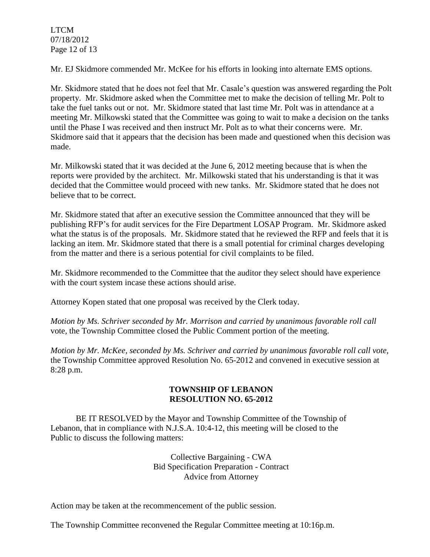LTCM 07/18/2012 Page 12 of 13

Mr. EJ Skidmore commended Mr. McKee for his efforts in looking into alternate EMS options.

Mr. Skidmore stated that he does not feel that Mr. Casale's question was answered regarding the Polt property. Mr. Skidmore asked when the Committee met to make the decision of telling Mr. Polt to take the fuel tanks out or not. Mr. Skidmore stated that last time Mr. Polt was in attendance at a meeting Mr. Milkowski stated that the Committee was going to wait to make a decision on the tanks until the Phase I was received and then instruct Mr. Polt as to what their concerns were. Mr. Skidmore said that it appears that the decision has been made and questioned when this decision was made.

Mr. Milkowski stated that it was decided at the June 6, 2012 meeting because that is when the reports were provided by the architect. Mr. Milkowski stated that his understanding is that it was decided that the Committee would proceed with new tanks. Mr. Skidmore stated that he does not believe that to be correct.

Mr. Skidmore stated that after an executive session the Committee announced that they will be publishing RFP's for audit services for the Fire Department LOSAP Program. Mr. Skidmore asked what the status is of the proposals. Mr. Skidmore stated that he reviewed the RFP and feels that it is lacking an item. Mr. Skidmore stated that there is a small potential for criminal charges developing from the matter and there is a serious potential for civil complaints to be filed.

Mr. Skidmore recommended to the Committee that the auditor they select should have experience with the court system incase these actions should arise.

Attorney Kopen stated that one proposal was received by the Clerk today.

*Motion by Ms. Schriver seconded by Mr. Morrison and carried by unanimous favorable roll call*  vote*,* the Township Committee closed the Public Comment portion of the meeting.

*Motion by Mr. McKee, seconded by Ms. Schriver and carried by unanimous favorable roll call vote,* the Township Committee approved Resolution No. 65-2012 and convened in executive session at 8:28 p.m.

## **TOWNSHIP OF LEBANON RESOLUTION NO. 65-2012**

BE IT RESOLVED by the Mayor and Township Committee of the Township of Lebanon, that in compliance with N.J.S.A. 10:4-12, this meeting will be closed to the Public to discuss the following matters:

> Collective Bargaining - CWA Bid Specification Preparation - Contract Advice from Attorney

Action may be taken at the recommencement of the public session.

The Township Committee reconvened the Regular Committee meeting at 10:16p.m.